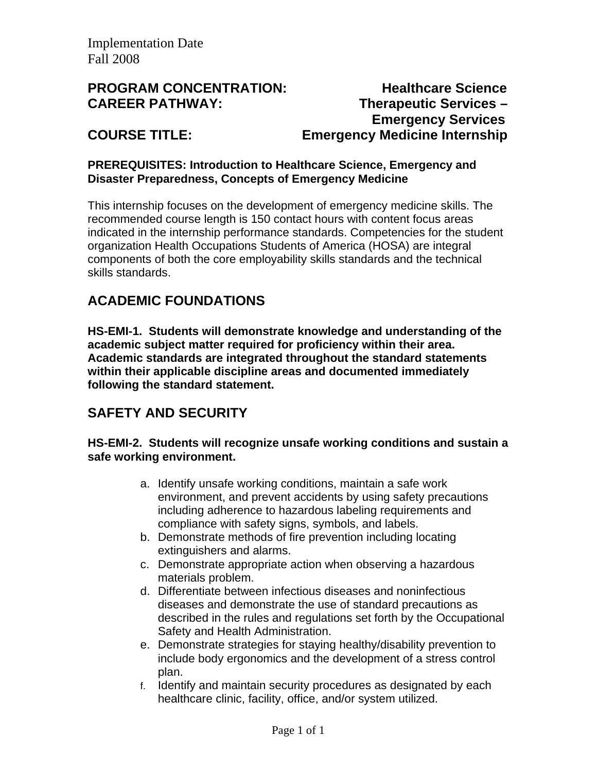## **PROGRAM CONCENTRATION:** Healthcare Science **CAREER PATHWAY: Therapeutic Services – Emergency Services COURSE TITLE: Emergency Medicine Internship**

### **PREREQUISITES: Introduction to Healthcare Science, Emergency and Disaster Preparedness, Concepts of Emergency Medicine**

This internship focuses on the development of emergency medicine skills. The recommended course length is 150 contact hours with content focus areas indicated in the internship performance standards. Competencies for the student organization Health Occupations Students of America (HOSA) are integral components of both the core employability skills standards and the technical skills standards.

# **ACADEMIC FOUNDATIONS**

**HS-EMI-1. Students will demonstrate knowledge and understanding of the academic subject matter required for proficiency within their area. Academic standards are integrated throughout the standard statements within their applicable discipline areas and documented immediately following the standard statement.** 

# **SAFETY AND SECURITY**

#### **HS-EMI-2. Students will recognize unsafe working conditions and sustain a safe working environment.**

- a. Identify unsafe working conditions, maintain a safe work environment, and prevent accidents by using safety precautions including adherence to hazardous labeling requirements and compliance with safety signs, symbols, and labels.
- b. Demonstrate methods of fire prevention including locating extinguishers and alarms.
- c. Demonstrate appropriate action when observing a hazardous materials problem.
- d. Differentiate between infectious diseases and noninfectious diseases and demonstrate the use of standard precautions as described in the rules and regulations set forth by the Occupational Safety and Health Administration.
- e. Demonstrate strategies for staying healthy/disability prevention to include body ergonomics and the development of a stress control plan.
- f. Identify and maintain security procedures as designated by each healthcare clinic, facility, office, and/or system utilized.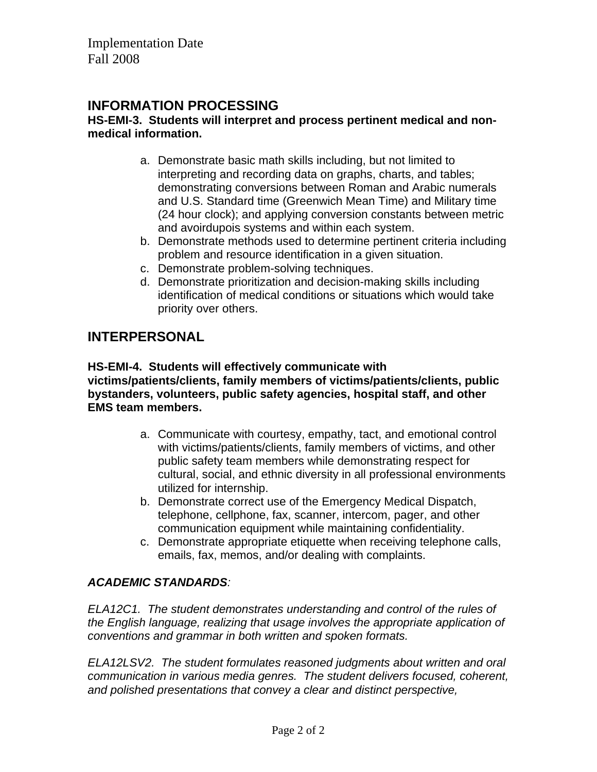## **INFORMATION PROCESSING**

#### **HS-EMI-3. Students will interpret and process pertinent medical and nonmedical information.**

- a. Demonstrate basic math skills including, but not limited to interpreting and recording data on graphs, charts, and tables; demonstrating conversions between Roman and Arabic numerals and U.S. Standard time (Greenwich Mean Time) and Military time (24 hour clock); and applying conversion constants between metric and avoirdupois systems and within each system.
- b. Demonstrate methods used to determine pertinent criteria including problem and resource identification in a given situation.
- c. Demonstrate problem-solving techniques.
- d. Demonstrate prioritization and decision-making skills including identification of medical conditions or situations which would take priority over others.

# **INTERPERSONAL**

#### **HS-EMI-4. Students will effectively communicate with victims/patients/clients, family members of victims/patients/clients, public bystanders, volunteers, public safety agencies, hospital staff, and other EMS team members.**

- a. Communicate with courtesy, empathy, tact, and emotional control with victims/patients/clients, family members of victims, and other public safety team members while demonstrating respect for cultural, social, and ethnic diversity in all professional environments utilized for internship.
- b. Demonstrate correct use of the Emergency Medical Dispatch, telephone, cellphone, fax, scanner, intercom, pager, and other communication equipment while maintaining confidentiality.
- c. Demonstrate appropriate etiquette when receiving telephone calls, emails, fax, memos, and/or dealing with complaints.

### *ACADEMIC STANDARDS:*

*ELA12C1. The student demonstrates understanding and control of the rules of the English language, realizing that usage involves the appropriate application of conventions and grammar in both written and spoken formats.* 

*ELA12LSV2. The student formulates reasoned judgments about written and oral communication in various media genres. The student delivers focused, coherent, and polished presentations that convey a clear and distinct perspective,*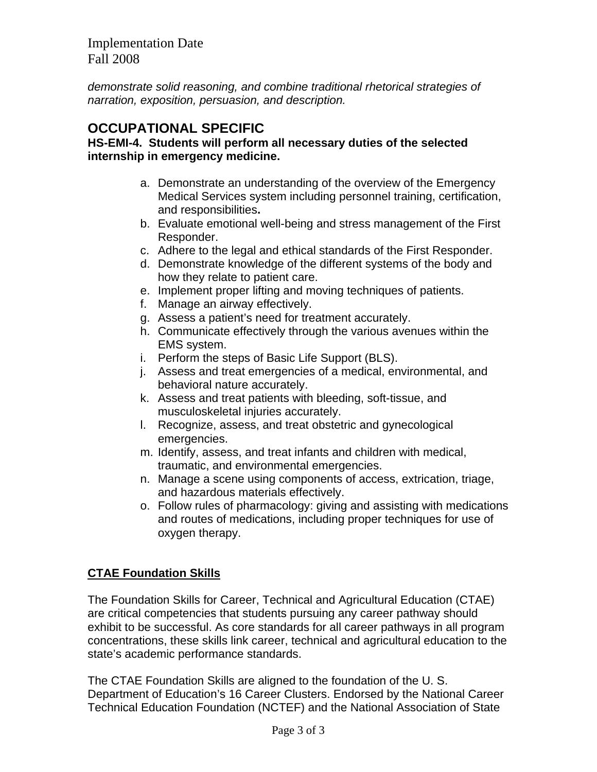*demonstrate solid reasoning, and combine traditional rhetorical strategies of narration, exposition, persuasion, and description.* 

## **OCCUPATIONAL SPECIFIC**

#### **HS-EMI-4. Students will perform all necessary duties of the selected internship in emergency medicine.**

- a. Demonstrate an understanding of the overview of the Emergency Medical Services system including personnel training, certification, and responsibilities**.**
- b. Evaluate emotional well-being and stress management of the First Responder.
- c. Adhere to the legal and ethical standards of the First Responder.
- d. Demonstrate knowledge of the different systems of the body and how they relate to patient care.
- e. Implement proper lifting and moving techniques of patients.
- f. Manage an airway effectively.
- g. Assess a patient's need for treatment accurately.
- h. Communicate effectively through the various avenues within the EMS system.
- i. Perform the steps of Basic Life Support (BLS).
- j. Assess and treat emergencies of a medical, environmental, and behavioral nature accurately.
- k. Assess and treat patients with bleeding, soft-tissue, and musculoskeletal injuries accurately.
- l. Recognize, assess, and treat obstetric and gynecological emergencies.
- m. Identify, assess, and treat infants and children with medical, traumatic, and environmental emergencies.
- n. Manage a scene using components of access, extrication, triage, and hazardous materials effectively.
- o. Follow rules of pharmacology: giving and assisting with medications and routes of medications, including proper techniques for use of oxygen therapy.

## **CTAE Foundation Skills**

The Foundation Skills for Career, Technical and Agricultural Education (CTAE) are critical competencies that students pursuing any career pathway should exhibit to be successful. As core standards for all career pathways in all program concentrations, these skills link career, technical and agricultural education to the state's academic performance standards.

The CTAE Foundation Skills are aligned to the foundation of the U. S. Department of Education's 16 Career Clusters. Endorsed by the National Career Technical Education Foundation (NCTEF) and the National Association of State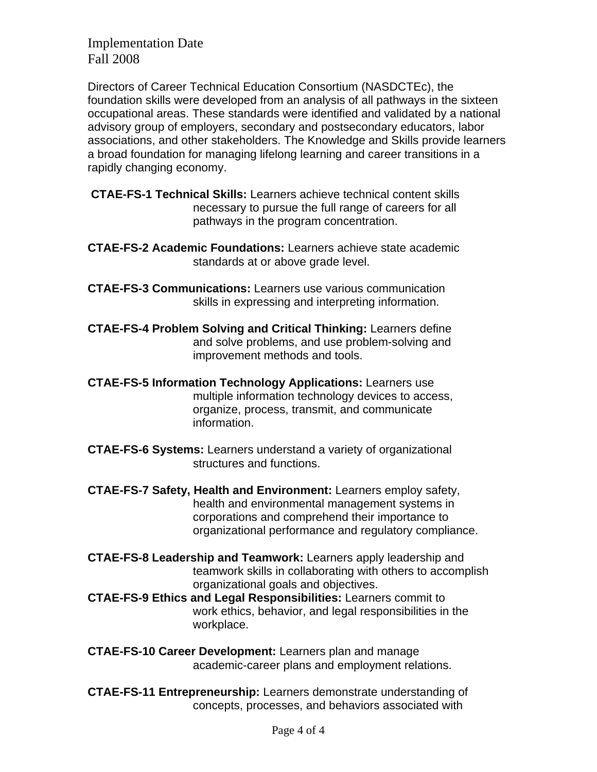Directors of Career Technical Education Consortium (NASDCTEc), the foundation skills were developed from an analysis of all pathways in the sixteen occupational areas. These standards were identified and validated by a national advisory group of employers, secondary and postsecondary educators, labor associations, and other stakeholders. The Knowledge and Skills provide learners a broad foundation for managing lifelong learning and career transitions in a rapidly changing economy.

- **CTAE-FS-1 Technical Skills:** Learners achieve technical content skills necessary to pursue the full range of careers for all pathways in the program concentration.
- **CTAE-FS-2 Academic Foundations:** Learners achieve state academic standards at or above grade level.
- **CTAE-FS-3 Communications:** Learners use various communication skills in expressing and interpreting information.
- **CTAE-FS-4 Problem Solving and Critical Thinking:** Learners define and solve problems, and use problem-solving and improvement methods and tools.
- **CTAE-FS-5 Information Technology Applications:** Learners use multiple information technology devices to access, organize, process, transmit, and communicate information.
- **CTAE-FS-6 Systems:** Learners understand a variety of organizational structures and functions.
- **CTAE-FS-7 Safety, Health and Environment:** Learners employ safety, health and environmental management systems in corporations and comprehend their importance to organizational performance and regulatory compliance.
- **CTAE-FS-8 Leadership and Teamwork:** Learners apply leadership and teamwork skills in collaborating with others to accomplish organizational goals and objectives.
- **CTAE-FS-9 Ethics and Legal Responsibilities:** Learners commit to work ethics, behavior, and legal responsibilities in the workplace.
- **CTAE-FS-10 Career Development:** Learners plan and manage academic-career plans and employment relations.
- **CTAE-FS-11 Entrepreneurship:** Learners demonstrate understanding of concepts, processes, and behaviors associated with